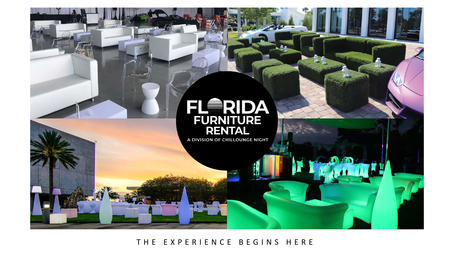

THE EXPERIENCE BEGINS HERE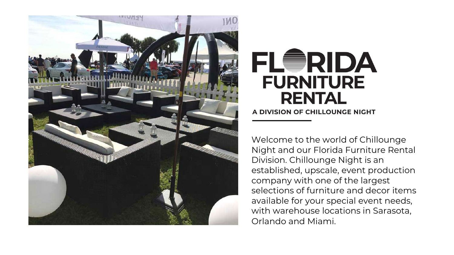

## FLWRIDA **FURNITURE RENTAL**

A DIVISION OF CHILLOUNGE NIGHT

Welcome to the world of Chillounge Night and our Florida Furniture Rental Division. Chillounge Night is an established, upscale, event production company with one of the largest selections of furniture and decor items available for your special event needs, with warehouse locations in Sarasota, Orlando and Miami.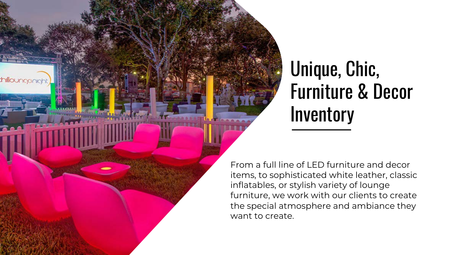## Unique, Chic, Furniture & Decor **Inventory**

From a full line of LED furniture and decor items, to sophisticated white leather, classic inflatables, or stylish variety of lounge furniture, we work with our clients to create the special atmosphere and ambiance they want to create.

thillounganigh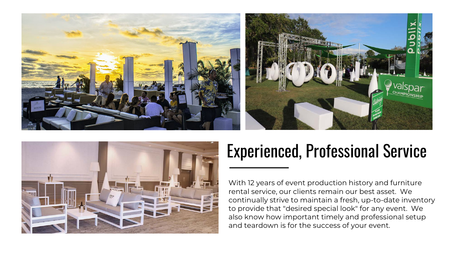





## Experienced, Professional Service

With 12 years of event production history and furniture rental service, our clients remain our best asset. We continually strive to maintain a fresh, up-to-date inventory to provide that "desired special look" for any event. We also know how important timely and professional setup and teardown is for the success of your event.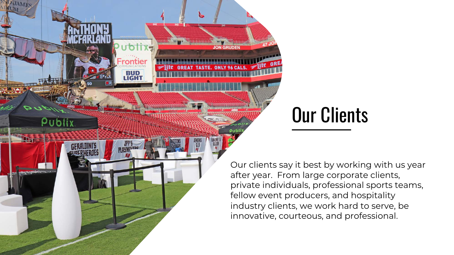Our Clients

JON GRUDEN

**BUD**<br>LIGHT

Publix

**GERALDINI'S** 

Our clients say it best by working with us year after year. From large corporate clients, private individuals, professional sports teams, fellow event producers, and hospitality industry clients, we work hard to serve, be innovative, courteous, and professional.